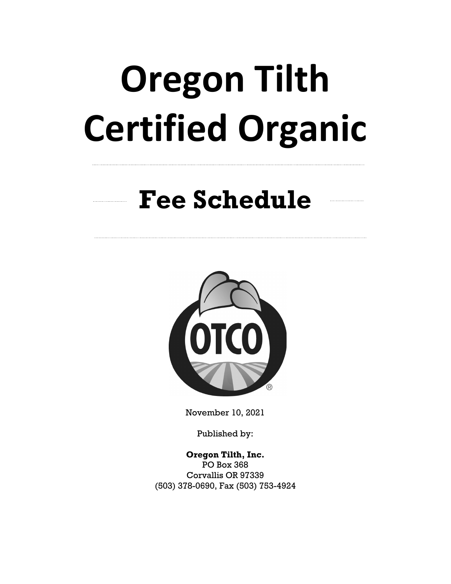# **Oregon Tilth Certified Organic**

# **Fee Schedule**



November 10, 2021

Published by:

**Oregon Tilth, Inc.** PO Box 368 Corvallis OR 97339 (503) 378-0690, Fax (503) 753-4924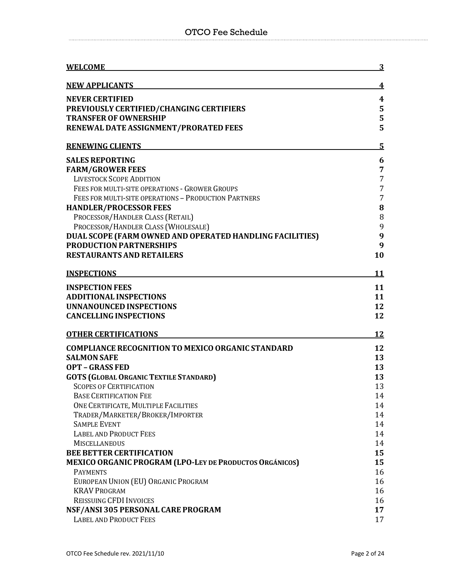| <b>WELCOME</b>                                           | <u>3</u>       |
|----------------------------------------------------------|----------------|
| <b>NEW APPLICANTS</b>                                    | 4              |
| <b>NEVER CERTIFIED</b>                                   | 4              |
| PREVIOUSLY CERTIFIED/CHANGING CERTIFIERS                 | 5              |
| <b>TRANSFER OF OWNERSHIP</b>                             | 5              |
| RENEWAL DATE ASSIGNMENT/PRORATED FEES                    | 5              |
| <b>RENEWING CLIENTS</b>                                  | $5\phantom{1}$ |
| <b>SALES REPORTING</b>                                   | 6              |
| <b>FARM/GROWER FEES</b>                                  | 7              |
| <b>LIVESTOCK SCOPE ADDITION</b>                          | $\overline{7}$ |
| FEES FOR MULTI-SITE OPERATIONS - GROWER GROUPS           | $\overline{7}$ |
| FEES FOR MULTI-SITE OPERATIONS - PRODUCTION PARTNERS     | $\overline{7}$ |
| <b>HANDLER/PROCESSOR FEES</b>                            | 8              |
| PROCESSOR/HANDLER CLASS (RETAIL)                         | 8              |
| PROCESSOR/HANDLER CLASS (WHOLESALE)                      | 9              |
| DUAL SCOPE (FARM OWNED AND OPERATED HANDLING FACILITIES) | 9              |
| <b>PRODUCTION PARTNERSHIPS</b>                           | 9              |
| <b>RESTAURANTS AND RETAILERS</b>                         | 10             |
| <b>INSPECTIONS</b>                                       | <u>11</u>      |
| <b>INSPECTION FEES</b>                                   | 11             |
| <b>ADDITIONAL INSPECTIONS</b>                            | 11             |
| <b>UNNANOUNCED INSPECTIONS</b>                           | 12             |
| <b>CANCELLING INSPECTIONS</b>                            | 12             |
| <b>OTHER CERTIFICATIONS</b>                              | <b>12</b>      |
| <b>COMPLIANCE RECOGNITION TO MEXICO ORGANIC STANDARD</b> | 12             |
| <b>SALMON SAFE</b>                                       | 13             |
| <b>OPT - GRASS FED</b>                                   | 13             |
| <b>GOTS (GLOBAL ORGANIC TEXTILE STANDARD)</b>            | 13             |
| <b>SCOPES OF CERTIFICATION</b>                           | 13             |
| <b>BASE CERTIFICATION FEE</b>                            | 14             |
| ONE CERTIFICATE, MULTIPLE FACILITIES                     | 14             |
| TRADER/MARKETER/BROKER/IMPORTER                          | 14             |
| <b>SAMPLE EVENT</b>                                      | 14             |
| <b>LABEL AND PRODUCT FEES</b>                            | 14             |
| <b>MISCELLANEOUS</b>                                     | 14             |
| <b>BEE BETTER CERTIFICATION</b>                          | 15             |
| MEXICO ORGANIC PROGRAM (LPO-LEY DE PRODUCTOS ORGÁNICOS)  | 15             |
| <b>PAYMENTS</b>                                          | 16             |
| EUROPEAN UNION (EU) ORGANIC PROGRAM                      | 16             |
| <b>KRAV PROGRAM</b>                                      | 16             |
| <b>REISSUING CFDI INVOICES</b>                           | 16             |
| NSF/ANSI 305 PERSONAL CARE PROGRAM                       | 17             |
| <b>LABEL AND PRODUCT FEES</b>                            | 17             |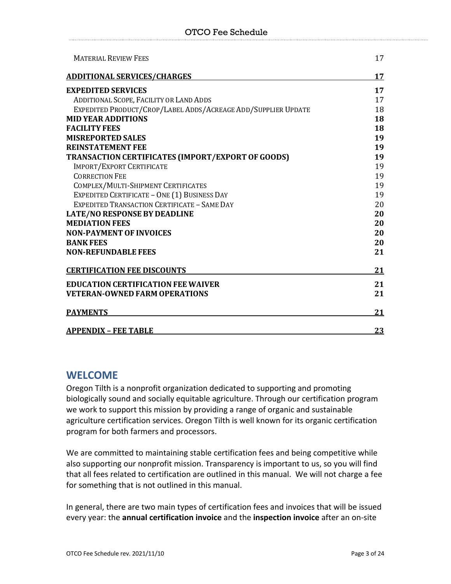#### OTCO Fee Schedule

| <b>MATERIAL REVIEW FEES</b>                                   | 17 |
|---------------------------------------------------------------|----|
| <b>ADDITIONAL SERVICES/CHARGES</b>                            | 17 |
| <b>EXPEDITED SERVICES</b>                                     | 17 |
| ADDITIONAL SCOPE, FACILITY OR LAND ADDS                       | 17 |
| EXPEDITED PRODUCT/CROP/LABEL ADDS/ACREAGE ADD/SUPPLIER UPDATE | 18 |
| <b>MID YEAR ADDITIONS</b>                                     | 18 |
| <b>FACILITY FEES</b>                                          | 18 |
| <b>MISREPORTED SALES</b>                                      | 19 |
| <b>REINSTATEMENT FEE</b>                                      | 19 |
| TRANSACTION CERTIFICATES (IMPORT/EXPORT OF GOODS)             | 19 |
| <b>IMPORT/EXPORT CERTIFICATE</b>                              | 19 |
| <b>CORRECTION FEE</b>                                         | 19 |
| COMPLEX/MULTI-SHIPMENT CERTIFICATES                           | 19 |
| EXPEDITED CERTIFICATE - ONE (1) BUSINESS DAY                  | 19 |
| EXPEDITED TRANSACTION CERTIFICATE - SAME DAY                  | 20 |
| <b>LATE/NO RESPONSE BY DEADLINE</b>                           | 20 |
| <b>MEDIATION FEES</b>                                         | 20 |
| <b>NON-PAYMENT OF INVOICES</b>                                | 20 |
| <b>BANK FEES</b>                                              | 20 |
| <b>NON-REFUNDABLE FEES</b>                                    | 21 |
| <b>CERTIFICATION FEE DISCOUNTS</b>                            | 21 |
| <b>EDUCATION CERTIFICATION FEE WAIVER</b>                     | 21 |
| <b>VETERAN-OWNED FARM OPERATIONS</b>                          | 21 |
| <b>PAYMENTS</b>                                               | 21 |
| <b>APPENDIX - FEE TABLE</b>                                   | 23 |

# **WELCOME**

Oregon Tilth is a nonprofit organization dedicated to supporting and promoting biologically sound and socially equitable agriculture. Through our certification program we work to support this mission by providing a range of organic and sustainable agriculture certification services. Oregon Tilth is well known for its organic certification program for both farmers and processors.

We are committed to maintaining stable certification fees and being competitive while also supporting our nonprofit mission. Transparency is important to us, so you will find that all fees related to certification are outlined in this manual. We will not charge a fee for something that is not outlined in this manual.

In general, there are two main types of certification fees and invoices that will be issued every year: the **annual certification invoice** and the **inspection invoice** after an on-site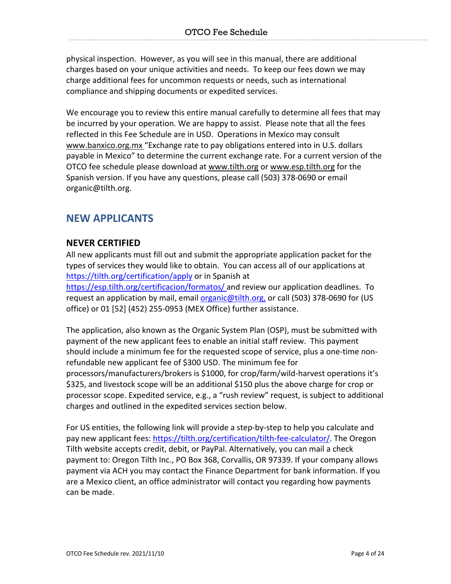physical inspection. However, as you will see in this manual, there are additional charges based on your unique activities and needs. To keep our fees down we may charge additional fees for uncommon requests or needs, such as international compliance and shipping documents or expedited services.

We encourage you to review this entire manual carefully to determine all fees that may be incurred by your operation. We are happy to assist. Please note that all the fees reflected in this Fee Schedule are in USD. Operations in Mexico may consult www.banxico.org.mx "Exchange rate to pay obligations entered into in U.S. dollars payable in Mexico" to determine the current exchange rate. For a current version of the OTCO fee schedule please download at www.tilth.org or www.esp.tilth.org for the Spanish version. If you have any questions, please call (503) 378-0690 or email organic@tilth.org.

# **NEW APPLICANTS**

# **NEVER CERTIFIED**

All new applicants must fill out and submit the appropriate application packet for the types of services they would like to obtain. You can access all of our applications at https://tilth.org/certification/apply or in Spanish at

https://esp.tilth.org/certificacion/formatos/ and review our application deadlines. To request an application by mail, email organic@tilth.org, or call (503) 378-0690 for (US office) or 01 [52] (452) 255-0953 (MEX Office) further assistance.

The application, also known as the Organic System Plan (OSP), must be submitted with payment of the new applicant fees to enable an initial staff review. This payment should include a minimum fee for the requested scope of service, plus a one-time nonrefundable new applicant fee of \$300 USD. The minimum fee for processors/manufacturers/brokers is \$1000, for crop/farm/wild-harvest operations it's \$325, and livestock scope will be an additional \$150 plus the above charge for crop or processor scope. Expedited service, e.g., a "rush review" request, is subject to additional charges and outlined in the expedited services section below.

For US entities, the following link will provide a step-by-step to help you calculate and pay new applicant fees: https://tilth.org/certification/tilth-fee-calculator/. The Oregon Tilth website accepts credit, debit, or PayPal. Alternatively, you can mail a check payment to: Oregon Tilth Inc., PO Box 368, Corvallis, OR 97339. If your company allows payment via ACH you may contact the Finance Department for bank information. If you are a Mexico client, an office administrator will contact you regarding how payments can be made.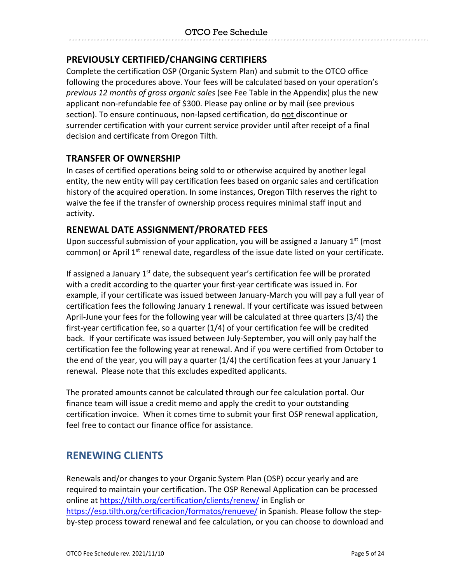# **PREVIOUSLY CERTIFIED/CHANGING CERTIFIERS**

Complete the certification OSP (Organic System Plan) and submit to the OTCO office following the procedures above. Your fees will be calculated based on your operation's *previous 12 months of gross organic sales* (see Fee Table in the Appendix) plus the new applicant non-refundable fee of \$300. Please pay online or by mail (see previous section). To ensure continuous, non-lapsed certification, do not discontinue or surrender certification with your current service provider until after receipt of a final decision and certificate from Oregon Tilth.

#### **TRANSFER OF OWNERSHIP**

In cases of certified operations being sold to or otherwise acquired by another legal entity, the new entity will pay certification fees based on organic sales and certification history of the acquired operation. In some instances, Oregon Tilth reserves the right to waive the fee if the transfer of ownership process requires minimal staff input and activity.

#### **RENEWAL DATE ASSIGNMENT/PRORATED FEES**

Upon successful submission of your application, you will be assigned a January  $1<sup>st</sup>$  (most common) or April  $1<sup>st</sup>$  renewal date, regardless of the issue date listed on your certificate.

If assigned a January  $1<sup>st</sup>$  date, the subsequent year's certification fee will be prorated with a credit according to the quarter your first-year certificate was issued in. For example, if your certificate was issued between January-March you will pay a full year of certification fees the following January 1 renewal. If your certificate was issued between April-June your fees for the following year will be calculated at three quarters (3/4) the first-year certification fee, so a quarter (1/4) of your certification fee will be credited back. If your certificate was issued between July-September, you will only pay half the certification fee the following year at renewal. And if you were certified from October to the end of the year, you will pay a quarter (1/4) the certification fees at your January 1 renewal. Please note that this excludes expedited applicants.

The prorated amounts cannot be calculated through our fee calculation portal. Our finance team will issue a credit memo and apply the credit to your outstanding certification invoice. When it comes time to submit your first OSP renewal application, feel free to contact our finance office for assistance.

# **RENEWING CLIENTS**

Renewals and/or changes to your Organic System Plan (OSP) occur yearly and are required to maintain your certification. The OSP Renewal Application can be processed online at https://tilth.org/certification/clients/renew/ in English or https://esp.tilth.org/certificacion/formatos/renueve/ in Spanish. Please follow the stepby-step process toward renewal and fee calculation, or you can choose to download and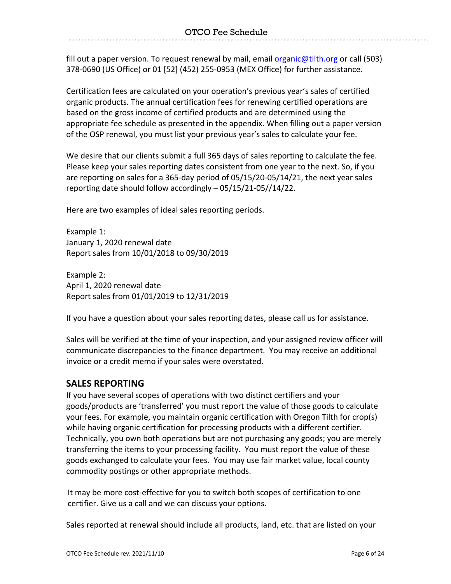fill out a paper version. To request renewal by mail, email organic@tilth.org or call (503) 378-0690 (US Office) or 01 [52] (452) 255-0953 (MEX Office) for further assistance.

Certification fees are calculated on your operation's previous year's sales of certified organic products. The annual certification fees for renewing certified operations are based on the gross income of certified products and are determined using the appropriate fee schedule as presented in the appendix. When filling out a paper version of the OSP renewal, you must list your previous year's sales to calculate your fee.

We desire that our clients submit a full 365 days of sales reporting to calculate the fee. Please keep your sales reporting dates consistent from one year to the next. So, if you are reporting on sales for a 365-day period of 05/15/20-05/14/21, the next year sales reporting date should follow accordingly – 05/15/21-05//14/22.

Here are two examples of ideal sales reporting periods.

Example 1: January 1, 2020 renewal date Report sales from 10/01/2018 to 09/30/2019

Example 2: April 1, 2020 renewal date Report sales from 01/01/2019 to 12/31/2019

If you have a question about your sales reporting dates, please call us for assistance.

Sales will be verified at the time of your inspection, and your assigned review officer will communicate discrepancies to the finance department. You may receive an additional invoice or a credit memo if your sales were overstated.

# **SALES REPORTING**

If you have several scopes of operations with two distinct certifiers and your goods/products are 'transferred' you must report the value of those goods to calculate your fees. For example, you maintain organic certification with Oregon Tilth for crop(s) while having organic certification for processing products with a different certifier. Technically, you own both operations but are not purchasing any goods; you are merely transferring the items to your processing facility. You must report the value of these goods exchanged to calculate your fees. You may use fair market value, local county commodity postings or other appropriate methods.

It may be more cost-effective for you to switch both scopes of certification to one certifier. Give us a call and we can discuss your options.

Sales reported at renewal should include all products, land, etc. that are listed on your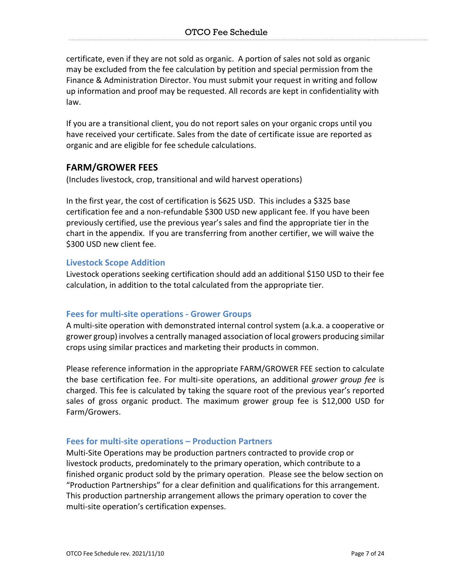certificate, even if they are not sold as organic. A portion of sales not sold as organic may be excluded from the fee calculation by petition and special permission from the Finance & Administration Director. You must submit your request in writing and follow up information and proof may be requested. All records are kept in confidentiality with law.

If you are a transitional client, you do not report sales on your organic crops until you have received your certificate. Sales from the date of certificate issue are reported as organic and are eligible for fee schedule calculations.

#### **FARM/GROWER FEES**

(Includes livestock, crop, transitional and wild harvest operations)

In the first year, the cost of certification is \$625 USD. This includes a \$325 base certification fee and a non-refundable \$300 USD new applicant fee. If you have been previously certified, use the previous year's sales and find the appropriate tier in the chart in the appendix. If you are transferring from another certifier, we will waive the \$300 USD new client fee.

#### **Livestock Scope Addition**

Livestock operations seeking certification should add an additional \$150 USD to their fee calculation, in addition to the total calculated from the appropriate tier.

#### **Fees for multi-site operations - Grower Groups**

A multi-site operation with demonstrated internal control system (a.k.a. a cooperative or grower group) involves a centrally managed association of local growers producing similar crops using similar practices and marketing their products in common.

Please reference information in the appropriate FARM/GROWER FEE section to calculate the base certification fee. For multi-site operations, an additional *grower group fee* is charged. This fee is calculated by taking the square root of the previous year's reported sales of gross organic product. The maximum grower group fee is \$12,000 USD for Farm/Growers.

#### **Fees for multi-site operations – Production Partners**

Multi-Site Operations may be production partners contracted to provide crop or livestock products, predominately to the primary operation, which contribute to a finished organic product sold by the primary operation. Please see the below section on "Production Partnerships" for a clear definition and qualifications for this arrangement. This production partnership arrangement allows the primary operation to cover the multi-site operation's certification expenses.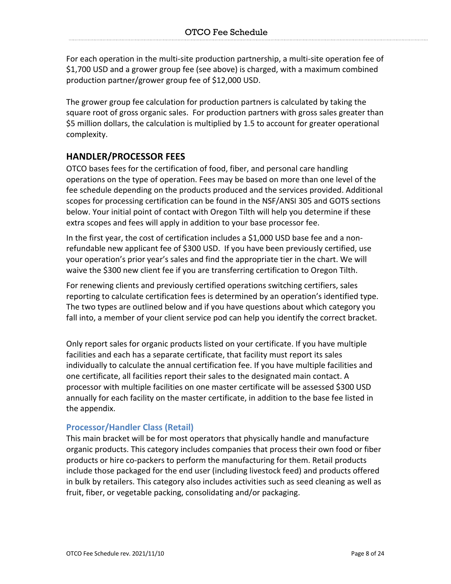For each operation in the multi-site production partnership, a multi-site operation fee of \$1,700 USD and a grower group fee (see above) is charged, with a maximum combined production partner/grower group fee of \$12,000 USD.

The grower group fee calculation for production partners is calculated by taking the square root of gross organic sales. For production partners with gross sales greater than \$5 million dollars, the calculation is multiplied by 1.5 to account for greater operational complexity.

# **HANDLER/PROCESSOR FEES**

OTCO bases fees for the certification of food, fiber, and personal care handling operations on the type of operation. Fees may be based on more than one level of the fee schedule depending on the products produced and the services provided. Additional scopes for processing certification can be found in the NSF/ANSI 305 and GOTS sections below. Your initial point of contact with Oregon Tilth will help you determine if these extra scopes and fees will apply in addition to your base processor fee.

In the first year, the cost of certification includes a \$1,000 USD base fee and a nonrefundable new applicant fee of \$300 USD. If you have been previously certified, use your operation's prior year's sales and find the appropriate tier in the chart. We will waive the \$300 new client fee if you are transferring certification to Oregon Tilth.

For renewing clients and previously certified operations switching certifiers, sales reporting to calculate certification fees is determined by an operation's identified type. The two types are outlined below and if you have questions about which category you fall into, a member of your client service pod can help you identify the correct bracket.

Only report sales for organic products listed on your certificate. If you have multiple facilities and each has a separate certificate, that facility must report its sales individually to calculate the annual certification fee. If you have multiple facilities and one certificate, all facilities report their sales to the designated main contact. A processor with multiple facilities on one master certificate will be assessed \$300 USD annually for each facility on the master certificate, in addition to the base fee listed in the appendix.

#### **Processor/Handler Class (Retail)**

This main bracket will be for most operators that physically handle and manufacture organic products. This category includes companies that process their own food or fiber products or hire co-packers to perform the manufacturing for them. Retail products include those packaged for the end user (including livestock feed) and products offered in bulk by retailers. This category also includes activities such as seed cleaning as well as fruit, fiber, or vegetable packing, consolidating and/or packaging.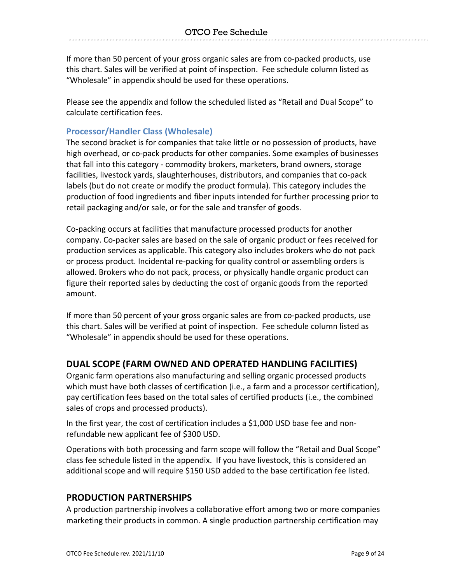If more than 50 percent of your gross organic sales are from co-packed products, use this chart. Sales will be verified at point of inspection. Fee schedule column listed as "Wholesale" in appendix should be used for these operations.

Please see the appendix and follow the scheduled listed as "Retail and Dual Scope" to calculate certification fees.

#### **Processor/Handler Class (Wholesale)**

The second bracket is for companies that take little or no possession of products, have high overhead, or co-pack products for other companies. Some examples of businesses that fall into this category - commodity brokers, marketers, brand owners, storage facilities, livestock yards, slaughterhouses, distributors, and companies that co-pack labels (but do not create or modify the product formula). This category includes the production of food ingredients and fiber inputs intended for further processing prior to retail packaging and/or sale, or for the sale and transfer of goods.

Co-packing occurs at facilities that manufacture processed products for another company. Co-packer sales are based on the sale of organic product or fees received for production services as applicable. This category also includes brokers who do not pack or process product. Incidental re-packing for quality control or assembling orders is allowed. Brokers who do not pack, process, or physically handle organic product can figure their reported sales by deducting the cost of organic goods from the reported amount.

If more than 50 percent of your gross organic sales are from co-packed products, use this chart. Sales will be verified at point of inspection. Fee schedule column listed as "Wholesale" in appendix should be used for these operations.

# **DUAL SCOPE (FARM OWNED AND OPERATED HANDLING FACILITIES)**

Organic farm operations also manufacturing and selling organic processed products which must have both classes of certification (i.e., a farm and a processor certification), pay certification fees based on the total sales of certified products (i.e., the combined sales of crops and processed products).

In the first year, the cost of certification includes a \$1,000 USD base fee and nonrefundable new applicant fee of \$300 USD.

Operations with both processing and farm scope will follow the "Retail and Dual Scope" class fee schedule listed in the appendix. If you have livestock, this is considered an additional scope and will require \$150 USD added to the base certification fee listed.

#### **PRODUCTION PARTNERSHIPS**

A production partnership involves a collaborative effort among two or more companies marketing their products in common. A single production partnership certification may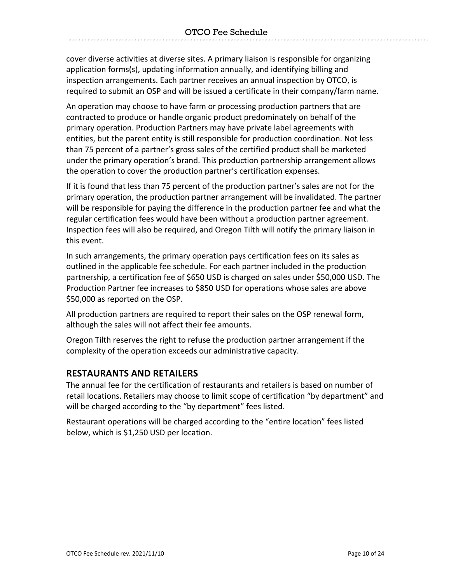cover diverse activities at diverse sites. A primary liaison is responsible for organizing application forms(s), updating information annually, and identifying billing and inspection arrangements. Each partner receives an annual inspection by OTCO, is required to submit an OSP and will be issued a certificate in their company/farm name.

An operation may choose to have farm or processing production partners that are contracted to produce or handle organic product predominately on behalf of the primary operation. Production Partners may have private label agreements with entities, but the parent entity is still responsible for production coordination. Not less than 75 percent of a partner's gross sales of the certified product shall be marketed under the primary operation's brand. This production partnership arrangement allows the operation to cover the production partner's certification expenses.

If it is found that less than 75 percent of the production partner's sales are not for the primary operation, the production partner arrangement will be invalidated. The partner will be responsible for paying the difference in the production partner fee and what the regular certification fees would have been without a production partner agreement. Inspection fees will also be required, and Oregon Tilth will notify the primary liaison in this event.

In such arrangements, the primary operation pays certification fees on its sales as outlined in the applicable fee schedule. For each partner included in the production partnership, a certification fee of \$650 USD is charged on sales under \$50,000 USD. The Production Partner fee increases to \$850 USD for operations whose sales are above \$50,000 as reported on the OSP.

All production partners are required to report their sales on the OSP renewal form, although the sales will not affect their fee amounts.

Oregon Tilth reserves the right to refuse the production partner arrangement if the complexity of the operation exceeds our administrative capacity.

# **RESTAURANTS AND RETAILERS**

The annual fee for the certification of restaurants and retailers is based on number of retail locations. Retailers may choose to limit scope of certification "by department" and will be charged according to the "by department" fees listed.

Restaurant operations will be charged according to the "entire location" fees listed below, which is \$1,250 USD per location.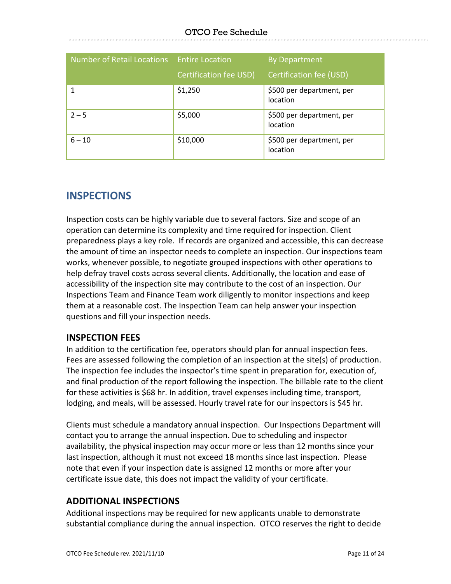| Number of Retail Locations Entire Location |                               | <b>By Department</b>                  |
|--------------------------------------------|-------------------------------|---------------------------------------|
|                                            | <b>Certification fee USD)</b> | Certification fee (USD)               |
|                                            | \$1,250                       | \$500 per department, per<br>location |
| $2 - 5$                                    | \$5,000                       | \$500 per department, per<br>location |
| $6 - 10$                                   | \$10,000                      | \$500 per department, per<br>location |

# **INSPECTIONS**

Inspection costs can be highly variable due to several factors. Size and scope of an operation can determine its complexity and time required for inspection. Client preparedness plays a key role. If records are organized and accessible, this can decrease the amount of time an inspector needs to complete an inspection. Our inspections team works, whenever possible, to negotiate grouped inspections with other operations to help defray travel costs across several clients. Additionally, the location and ease of accessibility of the inspection site may contribute to the cost of an inspection. Our Inspections Team and Finance Team work diligently to monitor inspections and keep them at a reasonable cost. The Inspection Team can help answer your inspection questions and fill your inspection needs.

# **INSPECTION FEES**

In addition to the certification fee, operators should plan for annual inspection fees. Fees are assessed following the completion of an inspection at the site(s) of production. The inspection fee includes the inspector's time spent in preparation for, execution of, and final production of the report following the inspection. The billable rate to the client for these activities is \$68 hr. In addition, travel expenses including time, transport, lodging, and meals, will be assessed. Hourly travel rate for our inspectors is \$45 hr.

Clients must schedule a mandatory annual inspection. Our Inspections Department will contact you to arrange the annual inspection. Due to scheduling and inspector availability, the physical inspection may occur more or less than 12 months since your last inspection, although it must not exceed 18 months since last inspection. Please note that even if your inspection date is assigned 12 months or more after your certificate issue date, this does not impact the validity of your certificate.

# **ADDITIONAL INSPECTIONS**

Additional inspections may be required for new applicants unable to demonstrate substantial compliance during the annual inspection. OTCO reserves the right to decide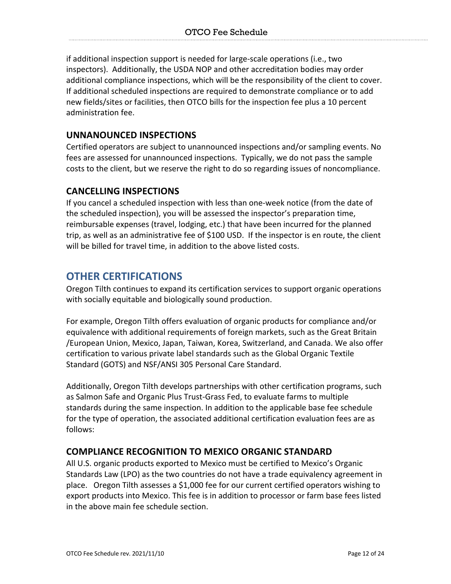if additional inspection support is needed for large-scale operations (i.e., two inspectors). Additionally, the USDA NOP and other accreditation bodies may order additional compliance inspections, which will be the responsibility of the client to cover. If additional scheduled inspections are required to demonstrate compliance or to add new fields/sites or facilities, then OTCO bills for the inspection fee plus a 10 percent administration fee.

## **UNNANOUNCED INSPECTIONS**

Certified operators are subject to unannounced inspections and/or sampling events. No fees are assessed for unannounced inspections. Typically, we do not pass the sample costs to the client, but we reserve the right to do so regarding issues of noncompliance.

# **CANCELLING INSPECTIONS**

If you cancel a scheduled inspection with less than one-week notice (from the date of the scheduled inspection), you will be assessed the inspector's preparation time, reimbursable expenses (travel, lodging, etc.) that have been incurred for the planned trip, as well as an administrative fee of \$100 USD. If the inspector is en route, the client will be billed for travel time, in addition to the above listed costs.

# **OTHER CERTIFICATIONS**

Oregon Tilth continues to expand its certification services to support organic operations with socially equitable and biologically sound production.

For example, Oregon Tilth offers evaluation of organic products for compliance and/or equivalence with additional requirements of foreign markets, such as the Great Britain /European Union, Mexico, Japan, Taiwan, Korea, Switzerland, and Canada. We also offer certification to various private label standards such as the Global Organic Textile Standard (GOTS) and NSF/ANSI 305 Personal Care Standard.

Additionally, Oregon Tilth develops partnerships with other certification programs, such as Salmon Safe and Organic Plus Trust-Grass Fed, to evaluate farms to multiple standards during the same inspection. In addition to the applicable base fee schedule for the type of operation, the associated additional certification evaluation fees are as follows:

# **COMPLIANCE RECOGNITION TO MEXICO ORGANIC STANDARD**

All U.S. organic products exported to Mexico must be certified to Mexico's Organic Standards Law (LPO) as the two countries do not have a trade equivalency agreement in place. Oregon Tilth assesses a \$1,000 fee for our current certified operators wishing to export products into Mexico. This fee is in addition to processor or farm base fees listed in the above main fee schedule section.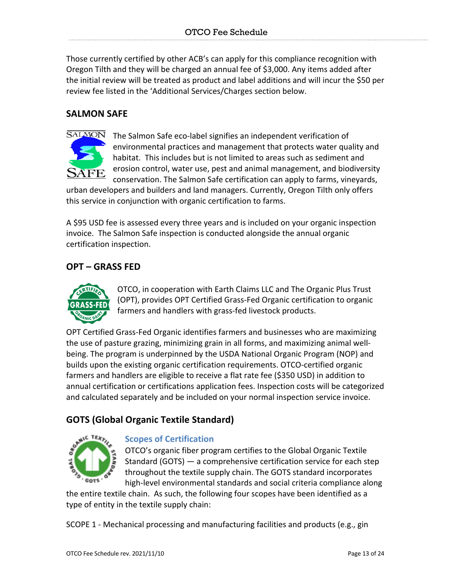Those currently certified by other ACB's can apply for this compliance recognition with Oregon Tilth and they will be charged an annual fee of \$3,000. Any items added after the initial review will be treated as product and label additions and will incur the \$50 per review fee listed in the 'Additional Services/Charges section below.

# **SALMON SAFE**



The Salmon Safe eco-label signifies an independent verification of environmental practices and management that protects water quality and habitat. This includes but is not limited to areas such as sediment and erosion control, water use, pest and animal management, and biodiversity conservation. The Salmon Safe certification can apply to farms, vineyards,

urban developers and builders and land managers. Currently, Oregon Tilth only offers this service in conjunction with organic certification to farms.

A \$95 USD fee is assessed every three years and is included on your organic inspection invoice. The Salmon Safe inspection is conducted alongside the annual organic certification inspection.

# **OPT – GRASS FED**



OTCO, in cooperation with Earth Claims LLC and The Organic Plus Trust (OPT), provides OPT Certified Grass-Fed Organic certification to organic farmers and handlers with grass-fed livestock products.

OPT Certified Grass-Fed Organic identifies farmers and businesses who are maximizing the use of pasture grazing, minimizing grain in all forms, and maximizing animal wellbeing. The program is underpinned by the USDA National Organic Program (NOP) and builds upon the existing organic certification requirements. OTCO-certified organic farmers and handlers are eligible to receive a flat rate fee (\$350 USD) in addition to annual certification or certifications application fees. Inspection costs will be categorized and calculated separately and be included on your normal inspection service invoice.

# **GOTS (Global Organic Textile Standard)**



# **Scopes of Certification**

OTCO's organic fiber program certifies to the Global Organic Textile Standard (GOTS) — a comprehensive certification service for each step throughout the textile supply chain. The GOTS standard incorporates high-level environmental standards and social criteria compliance along

the entire textile chain. As such, the following four scopes have been identified as a type of entity in the textile supply chain:

SCOPE 1 - Mechanical processing and manufacturing facilities and products (e.g., gin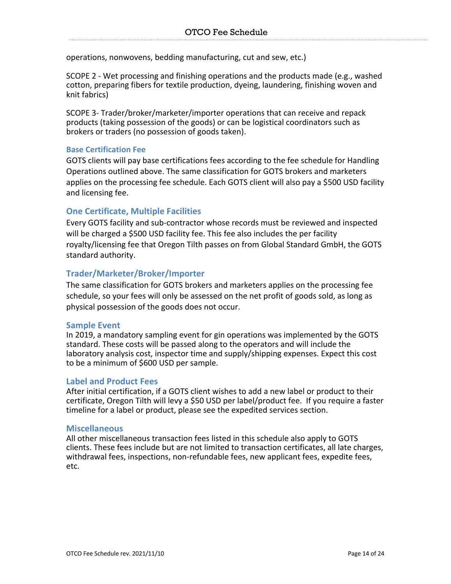operations, nonwovens, bedding manufacturing, cut and sew, etc.)

SCOPE 2 - Wet processing and finishing operations and the products made (e.g., washed cotton, preparing fibers for textile production, dyeing, laundering, finishing woven and knit fabrics)

SCOPE 3- Trader/broker/marketer/importer operations that can receive and repack products (taking possession of the goods) or can be logistical coordinators such as brokers or traders (no possession of goods taken).

#### **Base Certification Fee**

GOTS clients will pay base certifications fees according to the fee schedule for Handling Operations outlined above. The same classification for GOTS brokers and marketers applies on the processing fee schedule. Each GOTS client will also pay a \$500 USD facility and licensing fee.

#### **One Certificate, Multiple Facilities**

Every GOTS facility and sub-contractor whose records must be reviewed and inspected will be charged a \$500 USD facility fee. This fee also includes the per facility royalty/licensing fee that Oregon Tilth passes on from Global Standard GmbH, the GOTS standard authority.

#### **Trader/Marketer/Broker/Importer**

The same classification for GOTS brokers and marketers applies on the processing fee schedule, so your fees will only be assessed on the net profit of goods sold, as long as physical possession of the goods does not occur.

#### **Sample Event**

In 2019, a mandatory sampling event for gin operations was implemented by the GOTS standard. These costs will be passed along to the operators and will include the laboratory analysis cost, inspector time and supply/shipping expenses. Expect this cost to be a minimum of \$600 USD per sample.

#### **Label and Product Fees**

After initial certification, if a GOTS client wishes to add a new label or product to their certificate, Oregon Tilth will levy a \$50 USD per label/product fee. If you require a faster timeline for a label or product, please see the expedited services section.

#### **Miscellaneous**

All other miscellaneous transaction fees listed in this schedule also apply to GOTS clients. These fees include but are not limited to transaction certificates, all late charges, withdrawal fees, inspections, non-refundable fees, new applicant fees, expedite fees, etc.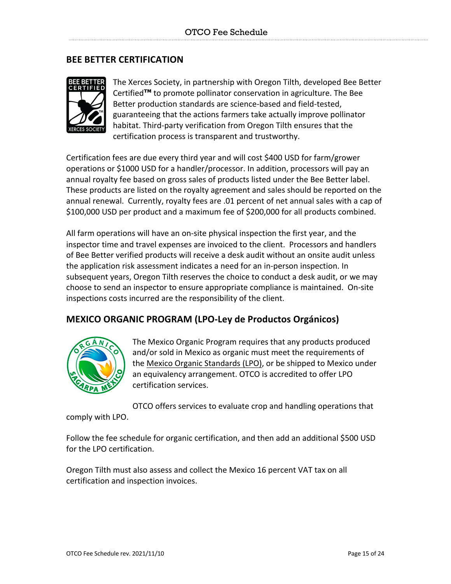# **BEE BETTER CERTIFICATION**



The Xerces Society, in partnership with Oregon Tilth, developed Bee Better Certified**™** to promote pollinator conservation in agriculture. The Bee Better production standards are science-based and field-tested, guaranteeing that the actions farmers take actually improve pollinator habitat. Third-party verification from Oregon Tilth ensures that the certification process is transparent and trustworthy.

Certification fees are due every third year and will cost \$400 USD for farm/grower operations or \$1000 USD for a handler/processor. In addition, processors will pay an annual royalty fee based on gross sales of products listed under the Bee Better label. These products are listed on the royalty agreement and sales should be reported on the annual renewal. Currently, royalty fees are .01 percent of net annual sales with a cap of \$100,000 USD per product and a maximum fee of \$200,000 for all products combined.

All farm operations will have an on-site physical inspection the first year, and the inspector time and travel expenses are invoiced to the client. Processors and handlers of Bee Better verified products will receive a desk audit without an onsite audit unless the application risk assessment indicates a need for an in-person inspection. In subsequent years, Oregon Tilth reserves the choice to conduct a desk audit, or we may choose to send an inspector to ensure appropriate compliance is maintained. On-site inspections costs incurred are the responsibility of the client.

# **MEXICO ORGANIC PROGRAM (LPO-Ley de Productos Orgánicos)**



The Mexico Organic Program requires that any products produced and/or sold in Mexico as organic must meet the requirements of the Mexico Organic Standards (LPO), or be shipped to Mexico under an equivalency arrangement. OTCO is accredited to offer LPO certification services.

OTCO offers services to evaluate crop and handling operations that

comply with LPO.

Follow the fee schedule for organic certification, and then add an additional \$500 USD for the LPO certification.

Oregon Tilth must also assess and collect the Mexico 16 percent VAT tax on all certification and inspection invoices.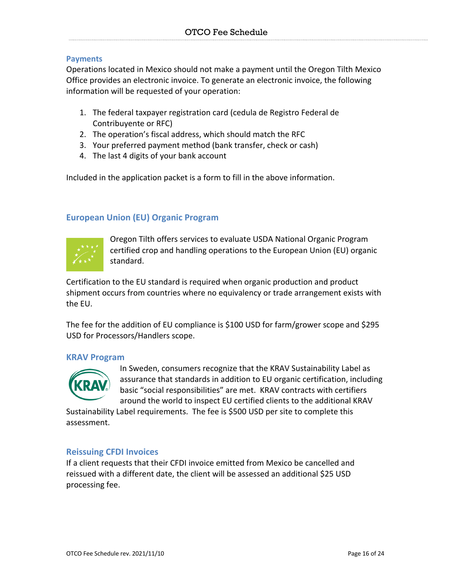#### **Payments**

Operations located in Mexico should not make a payment until the Oregon Tilth Mexico Office provides an electronic invoice. To generate an electronic invoice, the following information will be requested of your operation:

- 1. The federal taxpayer registration card (cedula de Registro Federal de Contribuyente or RFC)
- 2. The operation's fiscal address, which should match the RFC
- 3. Your preferred payment method (bank transfer, check or cash)
- 4. The last 4 digits of your bank account

Included in the application packet is a form to fill in the above information.

#### **European Union (EU) Organic Program**



Oregon Tilth offers services to evaluate USDA National Organic Program certified crop and handling operations to the European Union (EU) organic standard.

Certification to the EU standard is required when organic production and product shipment occurs from countries where no equivalency or trade arrangement exists with the EU.

The fee for the addition of EU compliance is \$100 USD for farm/grower scope and \$295 USD for Processors/Handlers scope.

#### **KRAV Program**



In Sweden, consumers recognize that the KRAV Sustainability Label as assurance that standards in addition to EU organic certification, including basic "social responsibilities" are met. KRAV contracts with certifiers around the world to inspect EU certified clients to the additional KRAV

Sustainability Label requirements. The fee is \$500 USD per site to complete this assessment.

#### **Reissuing CFDI Invoices**

If a client requests that their CFDI invoice emitted from Mexico be cancelled and reissued with a different date, the client will be assessed an additional \$25 USD processing fee.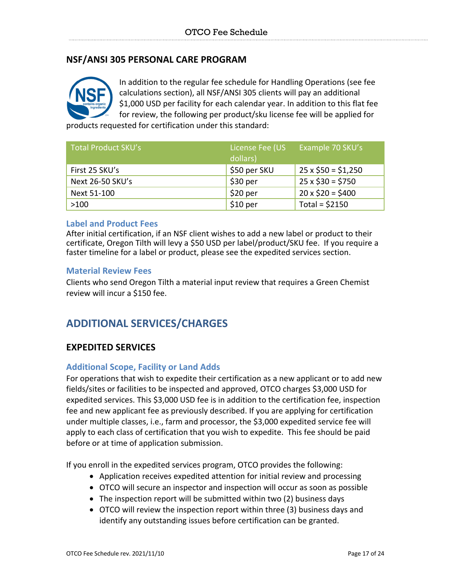# **NSF/ANSI 305 PERSONAL CARE PROGRAM**



In addition to the regular fee schedule for Handling Operations (see fee calculations section), all NSF/ANSI 305 clients will pay an additional \$1,000 USD per facility for each calendar year. In addition to this flat fee for review, the following per product/sku license fee will be applied for

products requested for certification under this standard:

| Total Product SKU's | License Fee (US<br>dollars) | Example 70 SKU's         |
|---------------------|-----------------------------|--------------------------|
| First 25 SKU's      | \$50 per SKU                | $25 \times $50 = $1,250$ |
| Next 26-50 SKU's    | \$30 per                    | $25 \times $30 = $750$   |
| Next 51-100         | \$20 <sub>per</sub>         | $20 \times $20 = $400$   |
| >100                | $$10~\mathrm{per}$          | Total = $$2150$          |

#### **Label and Product Fees**

After initial certification, if an NSF client wishes to add a new label or product to their certificate, Oregon Tilth will levy a \$50 USD per label/product/SKU fee. If you require a faster timeline for a label or product, please see the expedited services section.

#### **Material Review Fees**

Clients who send Oregon Tilth a material input review that requires a Green Chemist review will incur a \$150 fee.

# **ADDITIONAL SERVICES/CHARGES**

#### **EXPEDITED SERVICES**

#### **Additional Scope, Facility or Land Adds**

For operations that wish to expedite their certification as a new applicant or to add new fields/sites or facilities to be inspected and approved, OTCO charges \$3,000 USD for expedited services. This \$3,000 USD fee is in addition to the certification fee, inspection fee and new applicant fee as previously described. If you are applying for certification under multiple classes, i.e., farm and processor, the \$3,000 expedited service fee will apply to each class of certification that you wish to expedite. This fee should be paid before or at time of application submission.

If you enroll in the expedited services program, OTCO provides the following:

- Application receives expedited attention for initial review and processing
- OTCO will secure an inspector and inspection will occur as soon as possible
- The inspection report will be submitted within two (2) business days
- OTCO will review the inspection report within three (3) business days and identify any outstanding issues before certification can be granted.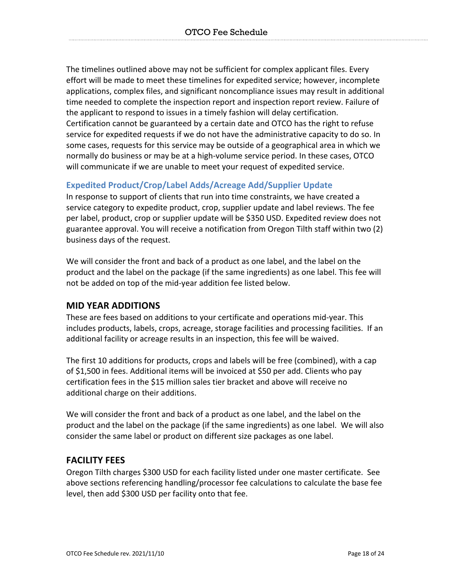The timelines outlined above may not be sufficient for complex applicant files. Every effort will be made to meet these timelines for expedited service; however, incomplete applications, complex files, and significant noncompliance issues may result in additional time needed to complete the inspection report and inspection report review. Failure of the applicant to respond to issues in a timely fashion will delay certification. Certification cannot be guaranteed by a certain date and OTCO has the right to refuse service for expedited requests if we do not have the administrative capacity to do so. In some cases, requests for this service may be outside of a geographical area in which we normally do business or may be at a high-volume service period. In these cases, OTCO will communicate if we are unable to meet your request of expedited service.

#### **Expedited Product/Crop/Label Adds/Acreage Add/Supplier Update**

In response to support of clients that run into time constraints, we have created a service category to expedite product, crop, supplier update and label reviews. The fee per label, product, crop or supplier update will be \$350 USD. Expedited review does not guarantee approval. You will receive a notification from Oregon Tilth staff within two (2) business days of the request.

We will consider the front and back of a product as one label, and the label on the product and the label on the package (if the same ingredients) as one label. This fee will not be added on top of the mid-year addition fee listed below.

# **MID YEAR ADDITIONS**

These are fees based on additions to your certificate and operations mid-year. This includes products, labels, crops, acreage, storage facilities and processing facilities. If an additional facility or acreage results in an inspection, this fee will be waived.

The first 10 additions for products, crops and labels will be free (combined), with a cap of \$1,500 in fees. Additional items will be invoiced at \$50 per add. Clients who pay certification fees in the \$15 million sales tier bracket and above will receive no additional charge on their additions.

We will consider the front and back of a product as one label, and the label on the product and the label on the package (if the same ingredients) as one label. We will also consider the same label or product on different size packages as one label.

#### **FACILITY FEES**

Oregon Tilth charges \$300 USD for each facility listed under one master certificate. See above sections referencing handling/processor fee calculations to calculate the base fee level, then add \$300 USD per facility onto that fee.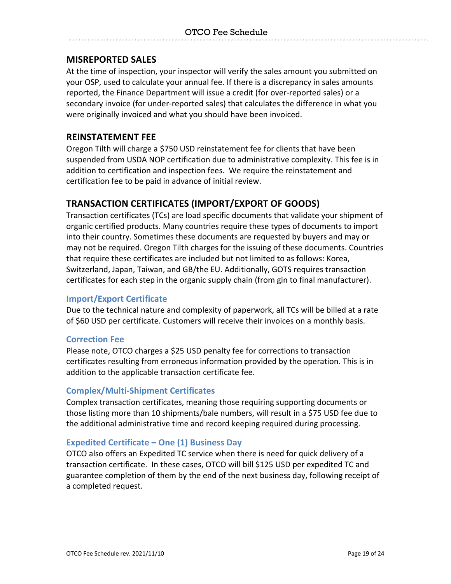#### **MISREPORTED SALES**

At the time of inspection, your inspector will verify the sales amount you submitted on your OSP, used to calculate your annual fee. If there is a discrepancy in sales amounts reported, the Finance Department will issue a credit (for over-reported sales) or a secondary invoice (for under-reported sales) that calculates the difference in what you were originally invoiced and what you should have been invoiced.

#### **REINSTATEMENT FEE**

Oregon Tilth will charge a \$750 USD reinstatement fee for clients that have been suspended from USDA NOP certification due to administrative complexity. This fee is in addition to certification and inspection fees. We require the reinstatement and certification fee to be paid in advance of initial review.

# **TRANSACTION CERTIFICATES (IMPORT/EXPORT OF GOODS)**

Transaction certificates (TCs) are load specific documents that validate your shipment of organic certified products. Many countries require these types of documents to import into their country. Sometimes these documents are requested by buyers and may or may not be required. Oregon Tilth charges for the issuing of these documents. Countries that require these certificates are included but not limited to as follows: Korea, Switzerland, Japan, Taiwan, and GB/the EU. Additionally, GOTS requires transaction certificates for each step in the organic supply chain (from gin to final manufacturer).

#### **Import/Export Certificate**

Due to the technical nature and complexity of paperwork, all TCs will be billed at a rate of \$60 USD per certificate. Customers will receive their invoices on a monthly basis.

#### **Correction Fee**

Please note, OTCO charges a \$25 USD penalty fee for corrections to transaction certificates resulting from erroneous information provided by the operation. This is in addition to the applicable transaction certificate fee.

#### **Complex/Multi-Shipment Certificates**

Complex transaction certificates, meaning those requiring supporting documents or those listing more than 10 shipments/bale numbers, will result in a \$75 USD fee due to the additional administrative time and record keeping required during processing.

#### **Expedited Certificate – One (1) Business Day**

OTCO also offers an Expedited TC service when there is need for quick delivery of a transaction certificate. In these cases, OTCO will bill \$125 USD per expedited TC and guarantee completion of them by the end of the next business day, following receipt of a completed request.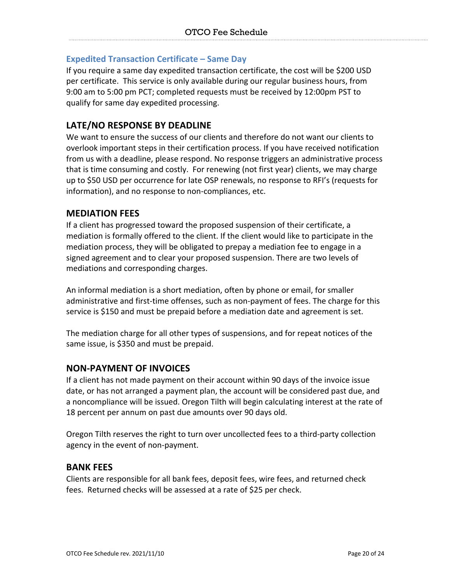#### **Expedited Transaction Certificate – Same Day**

If you require a same day expedited transaction certificate, the cost will be \$200 USD per certificate. This service is only available during our regular business hours, from 9:00 am to 5:00 pm PCT; completed requests must be received by 12:00pm PST to qualify for same day expedited processing.

# **LATE/NO RESPONSE BY DEADLINE**

We want to ensure the success of our clients and therefore do not want our clients to overlook important steps in their certification process. If you have received notification from us with a deadline, please respond. No response triggers an administrative process that is time consuming and costly. For renewing (not first year) clients, we may charge up to \$50 USD per occurrence for late OSP renewals, no response to RFI's (requests for information), and no response to non-compliances, etc.

#### **MEDIATION FEES**

If a client has progressed toward the proposed suspension of their certificate, a mediation is formally offered to the client. If the client would like to participate in the mediation process, they will be obligated to prepay a mediation fee to engage in a signed agreement and to clear your proposed suspension. There are two levels of mediations and corresponding charges.

An informal mediation is a short mediation, often by phone or email, for smaller administrative and first-time offenses, such as non-payment of fees. The charge for this service is \$150 and must be prepaid before a mediation date and agreement is set.

The mediation charge for all other types of suspensions, and for repeat notices of the same issue, is \$350 and must be prepaid.

#### **NON-PAYMENT OF INVOICES**

If a client has not made payment on their account within 90 days of the invoice issue date, or has not arranged a payment plan, the account will be considered past due, and a noncompliance will be issued. Oregon Tilth will begin calculating interest at the rate of 18 percent per annum on past due amounts over 90 days old.

Oregon Tilth reserves the right to turn over uncollected fees to a third-party collection agency in the event of non-payment.

#### **BANK FEES**

Clients are responsible for all bank fees, deposit fees, wire fees, and returned check fees. Returned checks will be assessed at a rate of \$25 per check.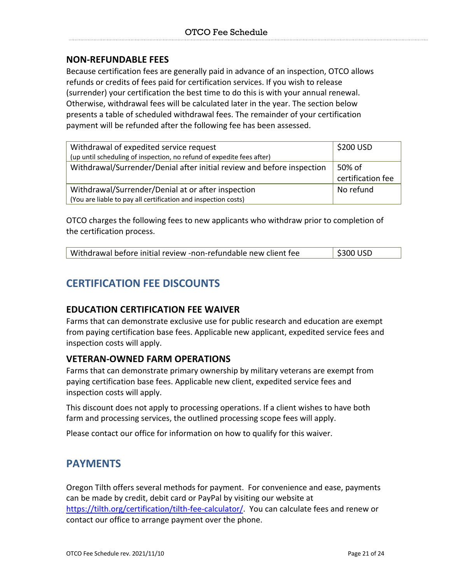### **NON-REFUNDABLE FEES**

Because certification fees are generally paid in advance of an inspection, OTCO allows refunds or credits of fees paid for certification services. If you wish to release (surrender) your certification the best time to do this is with your annual renewal. Otherwise, withdrawal fees will be calculated later in the year. The section below presents a table of scheduled withdrawal fees. The remainder of your certification payment will be refunded after the following fee has been assessed.

| Withdrawal of expedited service request                                | \$200 USD         |
|------------------------------------------------------------------------|-------------------|
| (up until scheduling of inspection, no refund of expedite fees after)  |                   |
| Withdrawal/Surrender/Denial after initial review and before inspection | 50% of            |
|                                                                        | certification fee |
| Withdrawal/Surrender/Denial at or after inspection                     | No refund         |
| (You are liable to pay all certification and inspection costs)         |                   |

OTCO charges the following fees to new applicants who withdraw prior to completion of the certification process.

| Withdrawal before initial review -non-refundable new client fee | $\frac{1}{2}$ \$300 USD |
|-----------------------------------------------------------------|-------------------------|
|-----------------------------------------------------------------|-------------------------|

# **CERTIFICATION FEE DISCOUNTS**

#### **EDUCATION CERTIFICATION FEE WAIVER**

Farms that can demonstrate exclusive use for public research and education are exempt from paying certification base fees. Applicable new applicant, expedited service fees and inspection costs will apply.

#### **VETERAN-OWNED FARM OPERATIONS**

Farms that can demonstrate primary ownership by military veterans are exempt from paying certification base fees. Applicable new client, expedited service fees and inspection costs will apply.

This discount does not apply to processing operations. If a client wishes to have both farm and processing services, the outlined processing scope fees will apply.

Please contact our office for information on how to qualify for this waiver.

# **PAYMENTS**

Oregon Tilth offers several methods for payment. For convenience and ease, payments can be made by credit, debit card or PayPal by visiting our website at https://tilth.org/certification/tilth-fee-calculator/. You can calculate fees and renew or contact our office to arrange payment over the phone.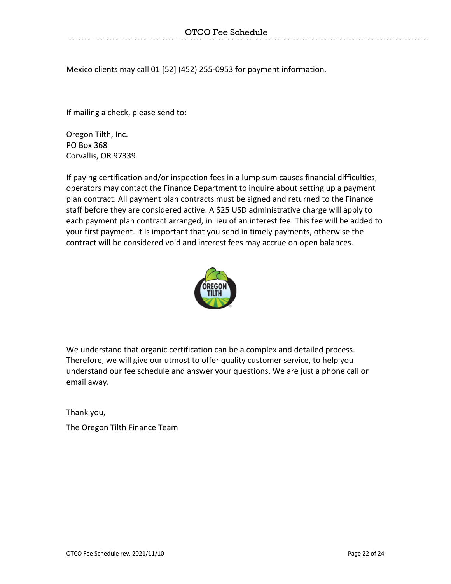Mexico clients may call 01 [52] (452) 255-0953 for payment information.

If mailing a check, please send to:

Oregon Tilth, Inc. PO Box 368 Corvallis, OR 97339

If paying certification and/or inspection fees in a lump sum causes financial difficulties, operators may contact the Finance Department to inquire about setting up a payment plan contract. All payment plan contracts must be signed and returned to the Finance staff before they are considered active. A \$25 USD administrative charge will apply to each payment plan contract arranged, in lieu of an interest fee. This fee will be added to your first payment. It is important that you send in timely payments, otherwise the contract will be considered void and interest fees may accrue on open balances.



We understand that organic certification can be a complex and detailed process. Therefore, we will give our utmost to offer quality customer service, to help you understand our fee schedule and answer your questions. We are just a phone call or email away.

Thank you,

The Oregon Tilth Finance Team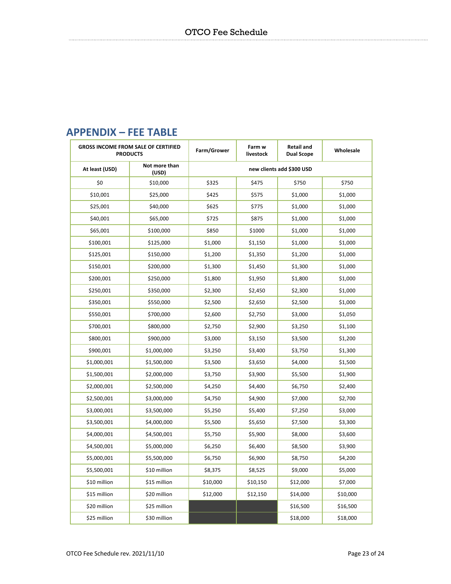|                | <b>GROSS INCOME FROM SALE OF CERTIFIED</b><br><b>PRODUCTS</b> | Farm/Grower               | Farm w<br>livestock | <b>Retail and</b><br><b>Dual Scope</b> | Wholesale |
|----------------|---------------------------------------------------------------|---------------------------|---------------------|----------------------------------------|-----------|
| At least (USD) | Not more than<br>(USD)                                        | new clients add \$300 USD |                     |                                        |           |
| \$0            | \$10,000                                                      | \$325                     | \$475               | \$750                                  | \$750     |
| \$10,001       | \$25,000                                                      | \$425                     | \$575               | \$1,000                                | \$1,000   |
| \$25,001       | \$40,000                                                      | \$625                     | \$775               | \$1,000                                | \$1,000   |
| \$40,001       | \$65,000                                                      | \$725                     | \$875               | \$1,000                                | \$1,000   |
| \$65,001       | \$100,000                                                     | \$850                     | \$1000              | \$1,000                                | \$1,000   |
| \$100,001      | \$125,000                                                     | \$1,000                   | \$1,150             | \$1,000                                | \$1,000   |
| \$125,001      | \$150,000                                                     | \$1,200                   | \$1,350             | \$1,200                                | \$1,000   |
| \$150,001      | \$200,000                                                     | \$1,300                   | \$1,450             | \$1,300                                | \$1,000   |
| \$200,001      | \$250,000                                                     | \$1,800                   | \$1,950             | \$1,800                                | \$1,000   |
| \$250,001      | \$350,000                                                     | \$2,300                   | \$2,450             | \$2,300                                | \$1,000   |
| \$350,001      | \$550,000                                                     | \$2,500                   | \$2,650             | \$2,500                                | \$1,000   |
| \$550,001      | \$700,000                                                     | \$2,600                   | \$2,750             | \$3,000                                | \$1,050   |
| \$700,001      | \$800,000                                                     | \$2,750                   | \$2,900             | \$3,250                                | \$1,100   |
| \$800,001      | \$900,000                                                     | \$3,000                   | \$3,150             | \$3,500                                | \$1,200   |
| \$900,001      | \$1,000,000                                                   | \$3,250                   | \$3,400             | \$3,750                                | \$1,300   |
| \$1,000,001    | \$1,500,000                                                   | \$3,500                   | \$3,650             | \$4,000                                | \$1,500   |
| \$1,500,001    | \$2,000,000                                                   | \$3,750                   | \$3,900             | \$5,500                                | \$1,900   |
| \$2,000,001    | \$2,500,000                                                   | \$4,250                   | \$4,400             | \$6,750                                | \$2,400   |
| \$2,500,001    | \$3,000,000                                                   | \$4,750                   | \$4,900             | \$7,000                                | \$2,700   |
| \$3,000,001    | \$3,500,000                                                   | \$5,250                   | \$5,400             | \$7,250                                | \$3,000   |
| \$3,500,001    | \$4,000,000                                                   | \$5,500                   | \$5,650             | \$7,500                                | \$3,300   |
| \$4,000,001    | \$4,500,001                                                   | \$5,750                   | \$5,900             | \$8,000                                | \$3,600   |
| \$4,500,001    | \$5,000,000                                                   | \$6,250                   | \$6,400             | \$8,500                                | \$3,900   |
| \$5,000,001    | \$5,500,000                                                   | \$6,750                   | \$6,900             | \$8,750                                | \$4,200   |
| \$5,500,001    | \$10 million                                                  | \$8,375                   | \$8,525             | \$9,000                                | \$5,000   |
| \$10 million   | \$15 million                                                  | \$10,000                  | \$10,150            | \$12,000                               | \$7,000   |
| \$15 million   | \$20 million                                                  | \$12,000                  | \$12,150            | \$14,000                               | \$10,000  |
| \$20 million   | \$25 million                                                  |                           |                     | \$16,500                               | \$16,500  |
| \$25 million   | \$30 million                                                  |                           |                     | \$18,000                               | \$18,000  |

# **APPENDIX – FEE TABLE**